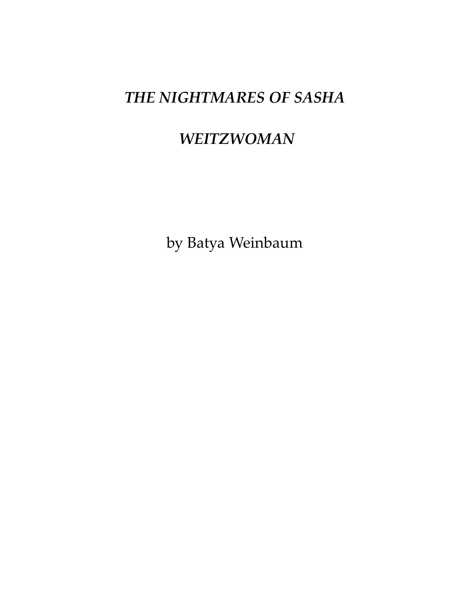# *THE NIGHTMARES OF SASHA*

# *WEITZWOMAN*

by Batya Weinbaum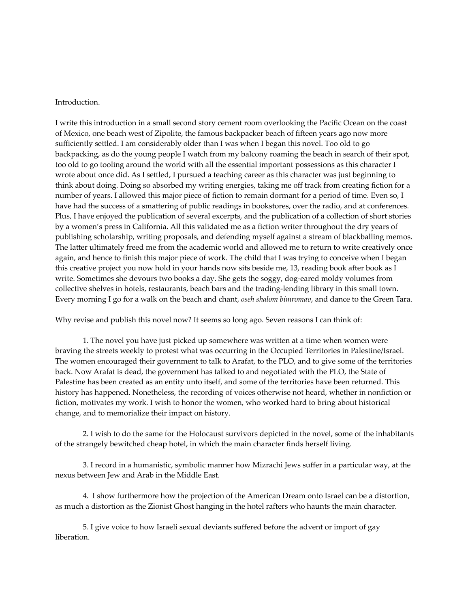#### Introduction.

I write this introduction in a small second story cement room overlooking the Pacific Ocean on the coast of Mexico, one beach west of Zipolite, the famous backpacker beach of fifteen years ago now more sufficiently settled. I am considerably older than I was when I began this novel. Too old to go backpacking, as do the young people I watch from my balcony roaming the beach in search of their spot, too old to go tooling around the world with all the essential important possessions as this character I wrote about once did. As I settled, I pursued a teaching career as this character was just beginning to think about doing. Doing so absorbed my writing energies, taking me off track from creating fiction for a number of years. I allowed this major piece of fiction to remain dormant for a period of time. Even so, I have had the success of a smattering of public readings in bookstores, over the radio, and at conferences. Plus, I have enjoyed the publication of several excerpts, and the publication of a collection of short stories by a women's press in California. All this validated me as a fiction writer throughout the dry years of publishing scholarship, writing proposals, and defending myself against a stream of blackballing memos. The latter ultimately freed me from the academic world and allowed me to return to write creatively once again, and hence to finish this major piece of work. The child that I was trying to conceive when I began this creative project you now hold in your hands now sits beside me, 13, reading book after book as I write. Sometimes she devours two books a day. She gets the soggy, dog-eared moldy volumes from collective shelves in hotels, restaurants, beach bars and the trading-lending library in this small town. Every morning I go for a walk on the beach and chant, *oseh shalom bimromav*, and dance to the Green Tara.

Why revise and publish this novel now? It seems so long ago. Seven reasons I can think of:

1. The novel you have just picked up somewhere was written at a time when women were braving the streets weekly to protest what was occurring in the Occupied Territories in Palestine/Israel. The women encouraged their government to talk to Arafat, to the PLO, and to give some of the territories back. Now Arafat is dead, the government has talked to and negotiated with the PLO, the State of Palestine has been created as an entity unto itself, and some of the territories have been returned. This history has happened. Nonetheless, the recording of voices otherwise not heard, whether in nonfiction or fiction, motivates my work. I wish to honor the women, who worked hard to bring about historical change, and to memorialize their impact on history.

2. I wish to do the same for the Holocaust survivors depicted in the novel, some of the inhabitants of the strangely bewitched cheap hotel, in which the main character finds herself living.

3. I record in a humanistic, symbolic manner how Mizrachi Jews suffer in a particular way, at the nexus between Jew and Arab in the Middle East.

4. I show furthermore how the projection of the American Dream onto Israel can be a distortion, as much a distortion as the Zionist Ghost hanging in the hotel rafters who haunts the main character.

5. I give voice to how Israeli sexual deviants suffered before the advent or import of gay liberation.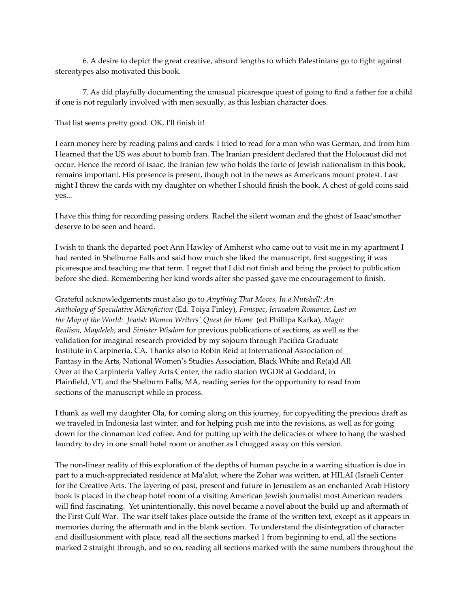6. A desire to depict the great creative, absurd lengths to which Palestinians go to fight against stereotypes also motivated this book.

7. As did playfully documenting the unusual picaresque quest of going to find a father for a child if one is not regularly involved with men sexually, as this lesbian character does.

That list seems pretty good. OK, I'll finish it!

I earn money here by reading palms and cards. I tried to read for a man who was German, and from him I learned that the US was about to bomb Iran. The Iranian president declared that the Holocaust did not occur. Hence the record of Isaac, the Iranian Jew who holds the forte of Jewish nationalism in this book, remains important. His presence is present, though not in the news as Americans mount protest. Last night I threw the cards with my daughter on whether I should finish the book. A chest of gold coins said yes...

I have this thing for recording passing orders. Rachel the silent woman and the ghost of Isaac'smother deserve to be seen and heard.

I wish to thank the departed poet Ann Hawley of Amherst who came out to visit me in my apartment I had rented in Shelburne Falls and said how much she liked the manuscript, first suggesting it was picaresque and teaching me that term. I regret that I did not finish and bring the project to publication before she died. Remembering her kind words after she passed gave me encouragement to finish.

Grateful acknowledgements must also go to *Anything That Moves, In a Nutshell: An Anthology of Speculative Microfiction* (Ed. Toiya Finley), *Femspec*, *Jerusalem Romance*, *Lost on the Map of the World: Jewish Women Writers' Quest for Home* (ed Phillipa Kafka), *Magic Realism, Maydeleh*, and *Sinister Wisdom* for previous publications of sections, as well as the validation for imaginal research provided by my sojourn through Pacifica Graduate Institute in Carpineria, CA. Thanks also to Robin Reid at International Association of Fantasy in the Arts, National Women's Studies Association, Black White and Re(a)d All Over at the Carpinteria Valley Arts Center, the radio station WGDR at Goddard, in Plainfield, VT, and the Shelburn Falls, MA, reading series for the opportunity to read from sections of the manuscript while in process.

I thank as well my daughter Ola, for coming along on this journey, for copyediting the previous draft as we traveled in Indonesia last winter, and for helping push me into the revisions, as well as for going down for the cinnamon iced coffee. And for putting up with the delicacies of where to hang the washed laundry to dry in one small hotel room or another as I chugged away on this version.

The non-linear reality of this exploration of the depths of human psyche in a warring situation is due in part to a much-appreciated residence at Ma'alot, where the Zohar was written, at HILAI (Israeli Center for the Creative Arts. The layering of past, present and future in Jerusalem as an enchanted Arab History book is placed in the cheap hotel room of a visiting American Jewish journalist most American readers will find fascinating. Yet unintentionally, this novel became a novel about the build up and aftermath of the First Gulf War. The war itself takes place outside the frame of the written text, except as it appears in memories during the aftermath and in the blank section. To understand the disintegration of character and disillusionment with place, read all the sections marked 1 from beginning to end, all the sections marked 2 straight through, and so on, reading all sections marked with the same numbers throughout the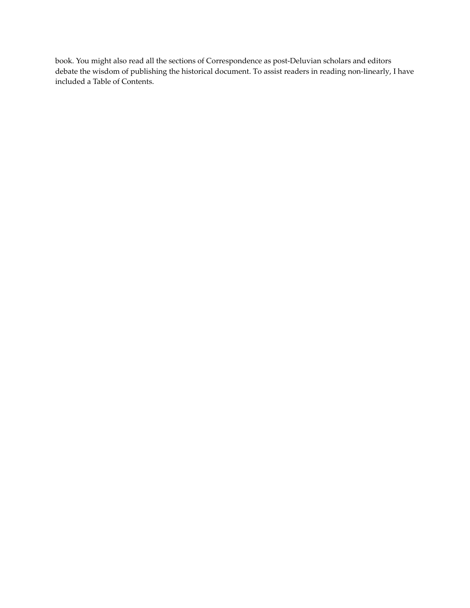book. You might also read all the sections of Correspondence as post-Deluvian scholars and editors debate the wisdom of publishing the historical document. To assist readers in reading non-linearly, I have included a Table of Contents.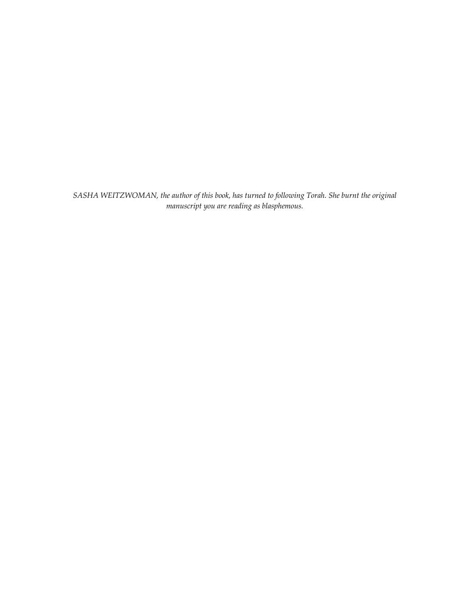*SASHA WEITZWOMAN, the author of this book, has turned to following Torah. She burnt the original manuscript you are reading as blasphemous.*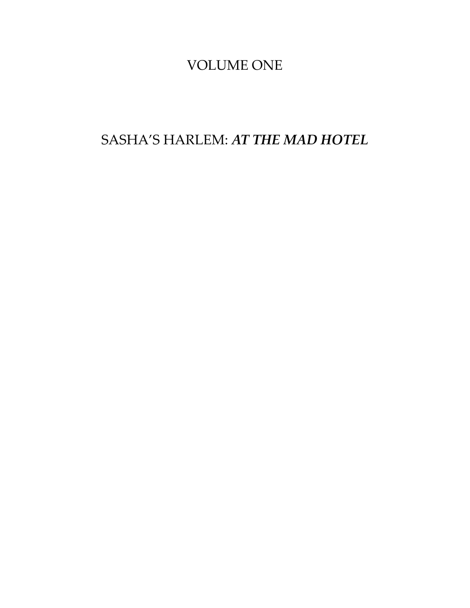## VOLUME ONE

SASHA'S HARLEM: *AT THE MAD HOTEL*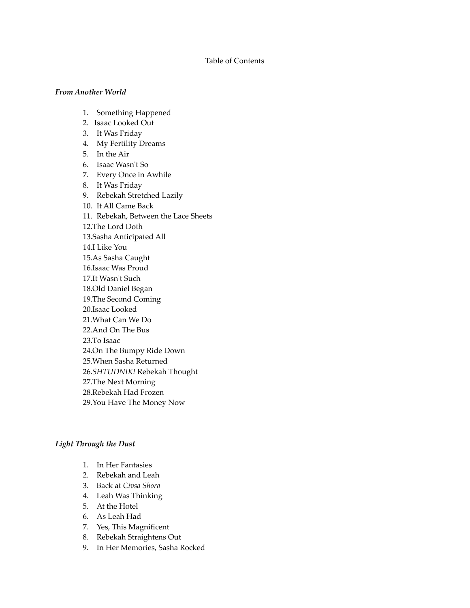#### Table of Contents

#### *From Another World*

- 1. Something Happened
- 2. Isaac Looked Out
- 3. It Was Friday
- 4. My Fertility Dreams
- 5. In the Air
- 6. Isaac Wasn't So
- 7. Every Once in Awhile
- 8. It Was Friday
- 9. Rebekah Stretched Lazily
- 10. It All Came Back 11. Rebekah, Between the Lace Sheets 12.The Lord Doth
- 13.Sasha Anticipated All

14.I Like You

15.As Sasha Caught

- 16.Isaac Was Proud
- 17.It Wasn't Such
- 18.Old Daniel Began

19.The Second Coming

- 20.Isaac Looked
- 21.What Can We Do
- 22.And On The Bus

23.To Isaac

- 24.On The Bumpy Ride Down
- 25.When Sasha Returned

26.*SHTUDNIK!* Rebekah Thought

- 27.The Next Morning
- 28.Rebekah Had Frozen
- 29.You Have The Money Now

#### *Light Through the Dust*

- 1. In Her Fantasies
- 2. Rebekah and Leah
- 3. Back at *Civsa Shora*
- 4. Leah Was Thinking
- 5. At the Hotel
- 6. As Leah Had
- 7. Yes, This Magnificent
- 8. Rebekah Straightens Out
- 9. In Her Memories, Sasha Rocked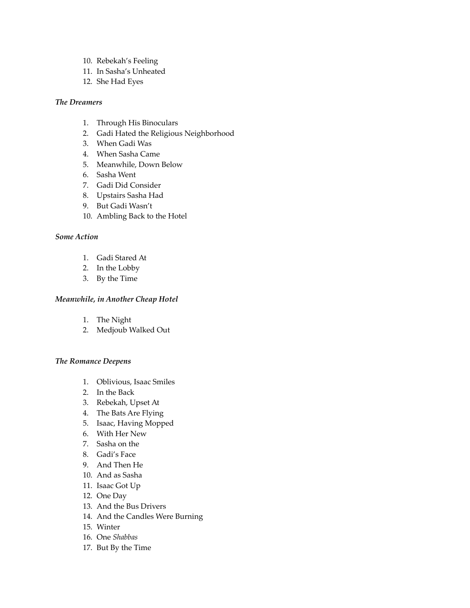- 10. Rebekah's Feeling
- 11. In Sasha's Unheated
- 12. She Had Eyes

## *The Dreamers*

- 1. Through His Binoculars
- 2. Gadi Hated the Religious Neighborhood
- 3. When Gadi Was
- 4. When Sasha Came
- 5. Meanwhile, Down Below
- 6. Sasha Went
- 7. Gadi Did Consider
- 8. Upstairs Sasha Had
- 9. But Gadi Wasn't
- 10. Ambling Back to the Hotel

## *Some Action*

- 1. Gadi Stared At
- 2. In the Lobby
- 3. By the Time

## *Meanwhile, in Another Cheap Hotel*

- 1. The Night
- 2. Medjoub Walked Out

## *The Romance Deepens*

- 1. Oblivious, Isaac Smiles
- 2. In the Back
- 3. Rebekah, Upset At
- 4. The Bats Are Flying
- 5. Isaac, Having Mopped
- 6. With Her New
- 7. Sasha on the
- 8. Gadi's Face
- 9. And Then He
- 10. And as Sasha
- 11. Isaac Got Up
- 12. One Day
- 13. And the Bus Drivers
- 14. And the Candles Were Burning
- 15. Winter
- 16. One *Shabbas*
- 17. But By the Time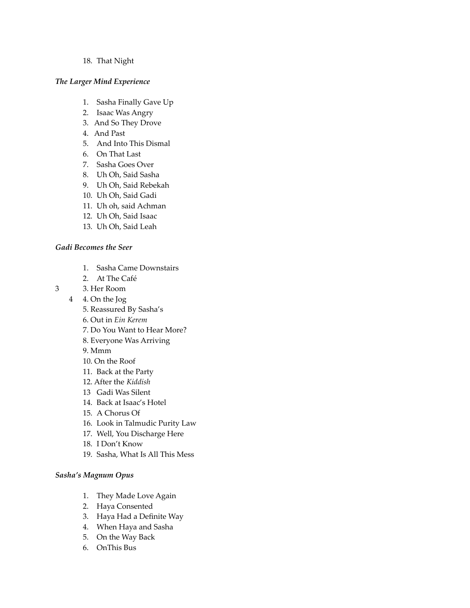#### 18. That Night

#### *The Larger Mind Experience*

- 1. Sasha Finally Gave Up
- 2. Isaac Was Angry
- 3. And So They Drove
- 4. And Past
- 5. And Into This Dismal
- 6. On That Last
- 7. Sasha Goes Over
- 8. Uh Oh, Said Sasha
- 9. Uh Oh, Said Rebekah
- 10. Uh Oh, Said Gadi
- 11. Uh oh, said Achman
- 12. Uh Oh, Said Isaac
- 13. Uh Oh, Said Leah

## *Gadi Becomes the Seer*

- 1. Sasha Came Downstairs
- 2. At The Café
- 3 3. Her Room
	- 4 4. On the Jog
		- 5. Reassured By Sasha's
		- 6. Out in *Ein Kerem*
		- 7. Do You Want to Hear More?
		- 8. Everyone Was Arriving
		- 9. Mmm
		- 10. On the Roof
		- 11. Back at the Party
		- 12. After the *Kiddish*
		- 13 Gadi Was Silent
		- 14. Back at Isaac's Hotel
		- 15. A Chorus Of
		- 16. Look in Talmudic Purity Law
		- 17. Well, You Discharge Here
		- 18. I Don't Know
		- 19. Sasha, What Is All This Mess

## *Sasha's Magnum Opus*

- 1. They Made Love Again
- 2. Haya Consented
- 3. Haya Had a Definite Way
- 4. When Haya and Sasha
- 5. On the Way Back
- 6. OnThis Bus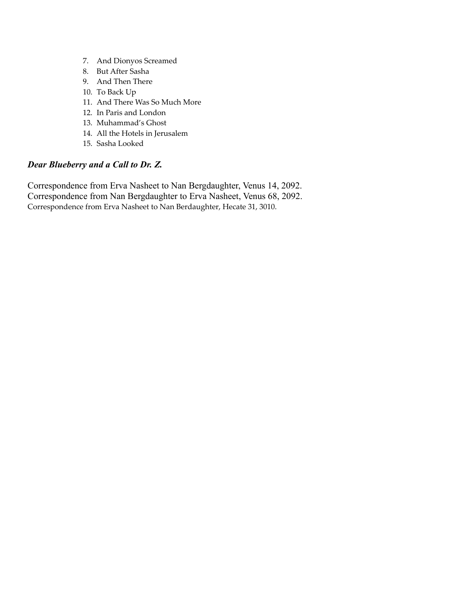- 7. And Dionyos Screamed
- 8. But After Sasha
- 9. And Then There
- 10. To Back Up
- 11. And There Was So Much More
- 12. In Paris and London
- 13. Muhammad's Ghost
- 14. All the Hotels in Jerusalem
- 15. Sasha Looked

## *Dear Blueberry and a Call to Dr. Z.*

Correspondence from Erva Nasheet to Nan Bergdaughter, Venus 14, 2092. Correspondence from Nan Bergdaughter to Erva Nasheet, Venus 68, 2092. Correspondence from Erva Nasheet to Nan Berdaughter, Hecate 31, 3010.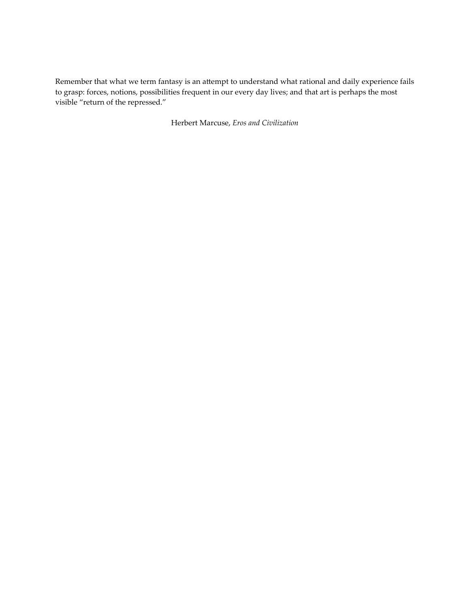Remember that what we term fantasy is an attempt to understand what rational and daily experience fails to grasp: forces, notions, possibilities frequent in our every day lives; and that art is perhaps the most visible "return of the repressed."

Herbert Marcuse, *Eros and Civilization*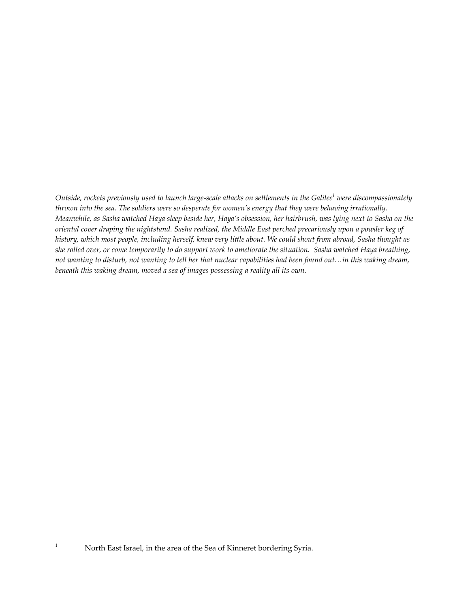Outside, rockets previously used to launch large-scale attacks on settlements in the Galilee $^1$  were discompassionately thrown into the sea. The soldiers were so desperate for women's energy that they were behaving irrationally. Meanwhile, as Sasha watched Haya sleep beside her, Haya's obsession, her hairbrush, was lying next to Sasha on the oriental cover draping the nightstand. Sasha realized, the Middle East perched precariously upon a powder keg of history, which most people, including herself, knew very little about. We could shout from abroad, Sasha thought as she rolled over, or come temporarily to do support work to ameliorate the situation. Sasha watched Haya breathing, not wanting to disturb, not wanting to tell her that nuclear capabilities had been found out...in this waking dream, *beneath this waking dream, moved a sea of images possessing a reality all its own.*

<sup>&</sup>lt;sup>1</sup> North East Israel, in the area of the Sea of Kinneret bordering Syria.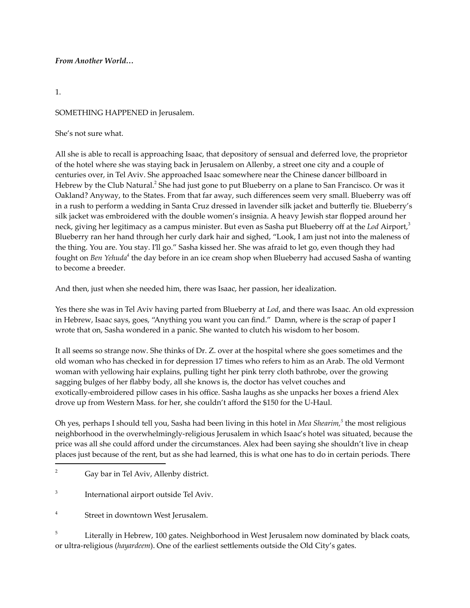## *From Another World…*

## 1.

## SOMETHING HAPPENED in Jerusalem.

## She's not sure what.

All she is able to recall is approaching Isaac, that depository of sensual and deferred love, the proprietor of the hotel where she was staying back in Jerusalem on Allenby, a street one city and a couple of centuries over, in Tel Aviv. She approached Isaac somewhere near the Chinese dancer billboard in Hebrew by the Club Natural.<sup>2</sup> She had just gone to put Blueberry on a plane to San Francisco. Or was it Oakland? Anyway, to the States. From that far away, such differences seem very small. Blueberry was off in a rush to perform a wedding in Santa Cruz dressed in lavender silk jacket and butterfly tie. Blueberry's silk jacket was embroidered with the double women's insignia. A heavy Jewish star flopped around her neck, giving her legitimacy as a campus minister. But even as Sasha put Blueberry off at the *Lod* Airport, 3 Blueberry ran her hand through her curly dark hair and sighed, "Look, I am just not into the maleness of the thing. You are. You stay. I'll go." Sasha kissed her. She was afraid to let go, even though they had fought on *Ben Yehuda*<sup>4</sup> the day before in an ice cream shop when Blueberry had accused Sasha of wanting to become a breeder.

And then, just when she needed him, there was Isaac, her passion, her idealization.

Yes there she was in Tel Aviv having parted from Blueberry at *Lod*, and there was Isaac. An old expression in Hebrew, Isaac says, goes, "Anything you want you can find." Damn, where is the scrap of paper I wrote that on, Sasha wondered in a panic. She wanted to clutch his wisdom to her bosom.

It all seems so strange now. She thinks of Dr. Z. over at the hospital where she goes sometimes and the old woman who has checked in for depression 17 times who refers to him as an Arab. The old Vermont woman with yellowing hair explains, pulling tight her pink terry cloth bathrobe, over the growing sagging bulges of her flabby body, all she knows is, the doctor has velvet couches and exotically-embroidered pillow cases in his office. Sasha laughs as she unpacks her boxes a friend Alex drove up from Western Mass. for her, she couldn't afford the \$150 for the U-Haul.

Oh yes, perhaps I should tell you, Sasha had been living in this hotel in *Mea Shearim, 5* the most religious neighborhood in the overwhelmingly-religious Jerusalem in which Isaac's hotel was situated, because the price was all she could afford under the circumstances. Alex had been saying she shouldn't live in cheap places just because of the rent, but as she had learned, this is what one has to do in certain periods. There

<sup>4</sup> Street in downtown West Jerusalem.

<sup>5</sup> Literally in Hebrew, 100 gates. Neighborhood in West Jerusalem now dominated by black coats, or ultra-religious (*hayardeem*). One of the earliest settlements outside the Old City's gates.

<sup>&</sup>lt;sup>2</sup> Gay bar in Tel Aviv, Allenby district.

<sup>3</sup> International airport outside Tel Aviv.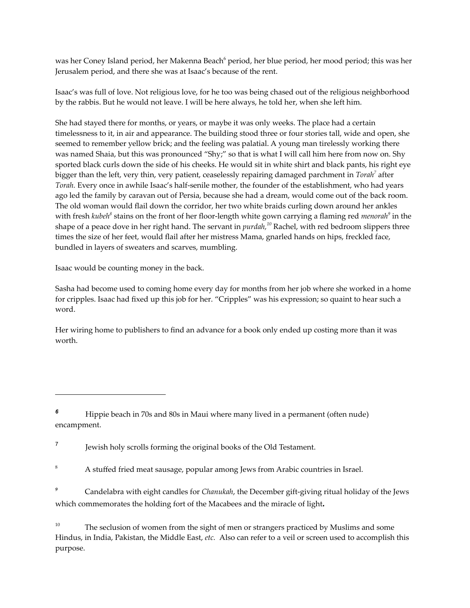was her Coney Island period, her Makenna Beach <sup>6</sup> period, her blue period, her mood period; this was her Jerusalem period, and there she was at Isaac's because of the rent.

Isaac's was full of love. Not religious love, for he too was being chased out of the religious neighborhood by the rabbis. But he would not leave. I will be here always, he told her, when she left him.

She had stayed there for months, or years, or maybe it was only weeks. The place had a certain timelessness to it, in air and appearance. The building stood three or four stories tall, wide and open, she seemed to remember yellow brick; and the feeling was palatial. A young man tirelessly working there was named Shaia, but this was pronounced "Shy;" so that is what I will call him here from now on. Shy sported black curls down the side of his cheeks. He would sit in white shirt and black pants, his right eye bigger than the left, very thin, very patient, ceaselessly repairing damaged parchment in *Torah <sup>7</sup>* after *Torah.* Every once in awhile Isaac's half-senile mother, the founder of the establishment, who had years ago led the family by caravan out of Persia, because she had a dream, would come out of the back room. The old woman would flail down the corridor, her two white braids curling down around her ankles with fresh *kubeh<sup>8</sup> stains on the front of her floor-length white gown carrying a flaming red <i>menorah<sup>9</sup>* in the shape of a peace dove in her right hand. The servant in *purdah, <sup>10</sup>* Rachel, with red bedroom slippers three times the size of her feet, would flail after her mistress Mama, gnarled hands on hips, freckled face, bundled in layers of sweaters and scarves, mumbling.

Isaac would be counting money in the back.

Sasha had become used to coming home every day for months from her job where she worked in a home for cripples. Isaac had fixed up this job for her. "Cripples" was his expression; so quaint to hear such a word.

Her wiring home to publishers to find an advance for a book only ended up costing more than it was worth.

*<sup>6</sup>* Hippie beach in 70s and 80s in Maui where many lived in a permanent (often nude) encampment.

<sup>7</sup> Jewish holy scrolls forming the original books of the Old Testament.

<sup>&</sup>lt;sup>8</sup> A stuffed fried meat sausage, popular among Jews from Arabic countries in Israel.

*<sup>9</sup>* Candelabra with eight candles for *Chanukah*, the December gift-giving ritual holiday of the Jews which commemorates the holding fort of the Macabees and the miracle of light*.*

<sup>&</sup>lt;sup>10</sup> The seclusion of women from the sight of men or strangers practiced by Muslims and some Hindus, in India, Pakistan, the Middle East, *etc.* Also can refer to a veil or screen used to accomplish this purpose.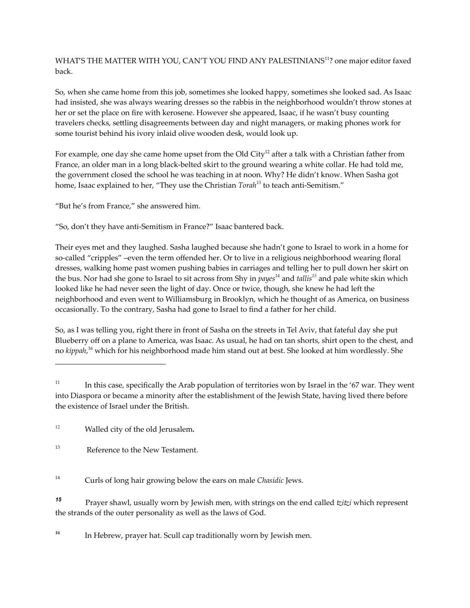WHAT'S THE MATTER WITH YOU, CAN'T YOU FIND ANY PALESTINIANS<sup>11</sup>? one major editor faxed back.

So, when she came home from this job, sometimes she looked happy, sometimes she looked sad. As Isaac had insisted, she was always wearing dresses so the rabbis in the neighborhood wouldn't throw stones at her or set the place on fire with kerosene. However she appeared, Isaac, if he wasn't busy counting travelers checks, settling disagreements between day and night managers, or making phones work for some tourist behind his ivory inlaid olive wooden desk, would look up.

For example, one day she came home upset from the Old City $^{12}$  after a talk with a Christian father from  $\,$ France, an older man in a long black-belted skirt to the ground wearing a white collar. He had told me, the government closed the school he was teaching in at noon. Why? He didn't know. When Sasha got home, Isaac explained to her, "They use the Christian *Torah <sup>13</sup>* to teach anti-Semitism."

"But he's from France," she answered him.

"So, don't they have anti-Semitism in France?" Isaac bantered back.

Their eyes met and they laughed. Sasha laughed because she hadn't gone to Israel to work in a home for so-called "cripples" –even the term offended her. Or to live in a religious neighborhood wearing floral dresses, walking home past women pushing babies in carriages and telling her to pull down her skirt on the bus. Nor had she gone to Israel to sit across from Shy in *payes <sup>14</sup>* and *tallis <sup>15</sup>* and pale white skin which looked like he had never seen the light of day. Once or twice, though, she knew he had left the neighborhood and even went to Williamsburg in Brooklyn, which he thought of as America, on business occasionally. To the contrary, Sasha had gone to Israel to find a father for her child.

So, as I was telling you, right there in front of Sasha on the streets in Tel Aviv, that fateful day she put Blueberry off on a plane to America, was Isaac. As usual, he had on tan shorts, shirt open to the chest, and no *kippah*, <sup>16</sup> which for his neighborhood made him stand out at best. She looked at him wordlessly. She

<sup>14</sup> Curls of long hair growing below the ears on male *Chasidic* Jews.

*<sup>15</sup>* Prayer shawl, usually worn by Jewish men, with strings on the end called *tzitzi* which represent the strands of the outer personality as well as the laws of God.

<sup>16</sup> In Hebrew, prayer hat. Scull cap traditionally worn by Jewish men.

<sup>&</sup>lt;sup>11</sup> In this case, specifically the Arab population of territories won by Israel in the '67 war. They went into Diaspora or became a minority after the establishment of the Jewish State, having lived there before the existence of Israel under the British.

<sup>12</sup> Walled city of the old Jerusalem*.*

<sup>&</sup>lt;sup>13</sup> Reference to the New Testament.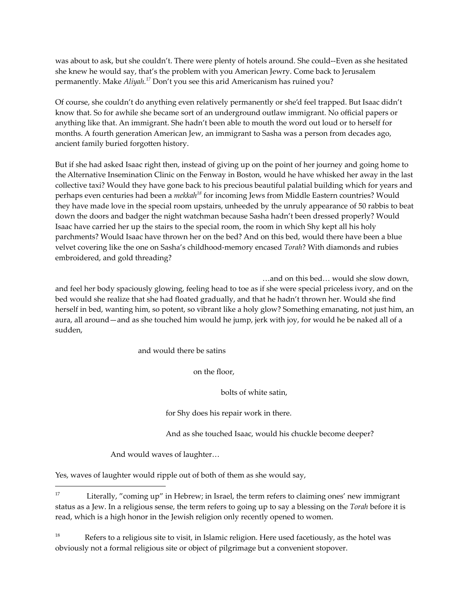was about to ask, but she couldn't. There were plenty of hotels around. She could--Even as she hesitated she knew he would say, that's the problem with you American Jewry. Come back to Jerusalem permanently. Make *Aliyah. <sup>17</sup>* Don't you see this arid Americanism has ruined you?

Of course, she couldn't do anything even relatively permanently or she'd feel trapped. But Isaac didn't know that. So for awhile she became sort of an underground outlaw immigrant. No official papers or anything like that. An immigrant. She hadn't been able to mouth the word out loud or to herself for months. A fourth generation American Jew, an immigrant to Sasha was a person from decades ago, ancient family buried forgotten history.

But if she had asked Isaac right then, instead of giving up on the point of her journey and going home to the Alternative Insemination Clinic on the Fenway in Boston, would he have whisked her away in the last collective taxi? Would they have gone back to his precious beautiful palatial building which for years and perhaps even centuries had been a *mekkah <sup>18</sup>* for incoming Jews from Middle Eastern countries? Would they have made love in the special room upstairs, unheeded by the unruly appearance of 50 rabbis to beat down the doors and badger the night watchman because Sasha hadn't been dressed properly? Would Isaac have carried her up the stairs to the special room, the room in which Shy kept all his holy parchments? Would Isaac have thrown her on the bed? And on this bed, would there have been a blue velvet covering like the one on Sasha's childhood-memory encased *Torah*? With diamonds and rubies embroidered, and gold threading?

…and on this bed… would she slow down, and feel her body spaciously glowing, feeling head to toe as if she were special priceless ivory, and on the bed would she realize that she had floated gradually, and that he hadn't thrown her. Would she find herself in bed, wanting him, so potent, so vibrant like a holy glow? Something emanating, not just him, an aura, all around—and as she touched him would he jump, jerk with joy, for would he be naked all of a sudden,

and would there be satins

on the floor,

bolts of white satin,

for Shy does his repair work in there.

And as she touched Isaac, would his chuckle become deeper?

And would waves of laughter…

Yes, waves of laughter would ripple out of both of them as she would say,

<sup>18</sup> Refers to a religious site to visit, in Islamic religion. Here used facetiously, as the hotel was obviously not a formal religious site or object of pilgrimage but a convenient stopover.

<sup>&</sup>lt;sup>17</sup> Literally, "coming up" in Hebrew; in Israel, the term refers to claiming ones' new immigrant status as a Jew. In a religious sense, the term refers to going up to say a blessing on the *Torah* before it is read, which is a high honor in the Jewish religion only recently opened to women.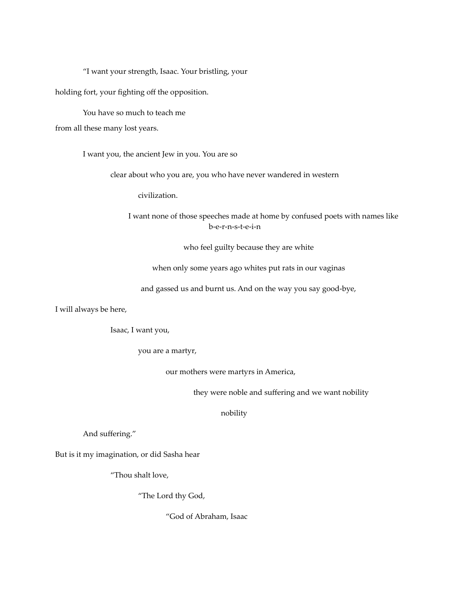"I want your strength, Isaac. Your bristling, your

holding fort, your fighting off the opposition.

You have so much to teach me

from all these many lost years.

I want you, the ancient Jew in you. You are so

clear about who you are, you who have never wandered in western

civilization.

I want none of those speeches made at home by confused poets with names like b-e-r-n-s-t-e-i-n

who feel guilty because they are white

when only some years ago whites put rats in our vaginas

and gassed us and burnt us. And on the way you say good-bye,

I will always be here,

Isaac, I want you,

you are a martyr,

our mothers were martyrs in America,

they were noble and suffering and we want nobility

nobility

And suffering."

But is it my imagination, or did Sasha hear

"Thou shalt love,

"The Lord thy God,

"God of Abraham, Isaac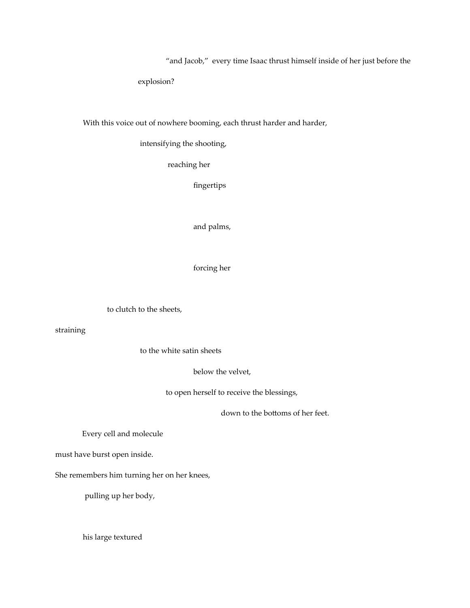"and Jacob," every time Isaac thrust himself inside of her just before the

explosion?

With this voice out of nowhere booming, each thrust harder and harder,

intensifying the shooting,

reaching her

fingertips

and palms,

forcing her

to clutch to the sheets,

straining

to the white satin sheets

below the velvet,

to open herself to receive the blessings,

down to the bottoms of her feet.

Every cell and molecule

must have burst open inside.

She remembers him turning her on her knees,

pulling up her body,

his large textured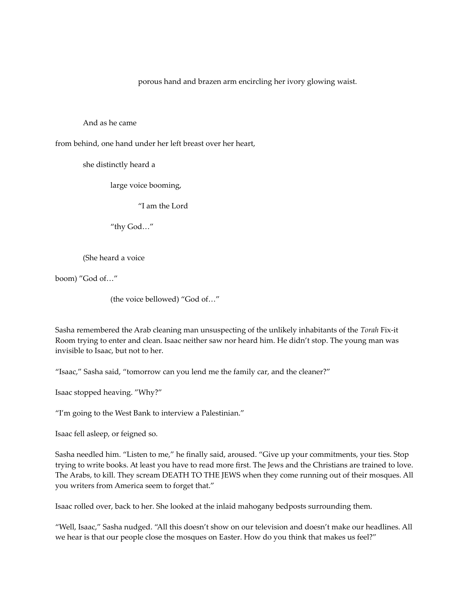porous hand and brazen arm encircling her ivory glowing waist.

#### And as he came

from behind, one hand under her left breast over her heart,

she distinctly heard a

large voice booming,

"I am the Lord

"thy God…"

#### (She heard a voice

boom) "God of…"

(the voice bellowed) "God of…"

Sasha remembered the Arab cleaning man unsuspecting of the unlikely inhabitants of the *Torah* Fix-it Room trying to enter and clean. Isaac neither saw nor heard him. He didn't stop. The young man was invisible to Isaac, but not to her.

"Isaac," Sasha said, "tomorrow can you lend me the family car, and the cleaner?"

Isaac stopped heaving. "Why?"

"I'm going to the West Bank to interview a Palestinian."

Isaac fell asleep, or feigned so.

Sasha needled him. "Listen to me," he finally said, aroused. "Give up your commitments, your ties. Stop trying to write books. At least you have to read more first. The Jews and the Christians are trained to love. The Arabs, to kill. They scream DEATH TO THE JEWS when they come running out of their mosques. All you writers from America seem to forget that."

Isaac rolled over, back to her. She looked at the inlaid mahogany bedposts surrounding them.

"Well, Isaac," Sasha nudged. "All this doesn't show on our television and doesn't make our headlines. All we hear is that our people close the mosques on Easter. How do you think that makes us feel?"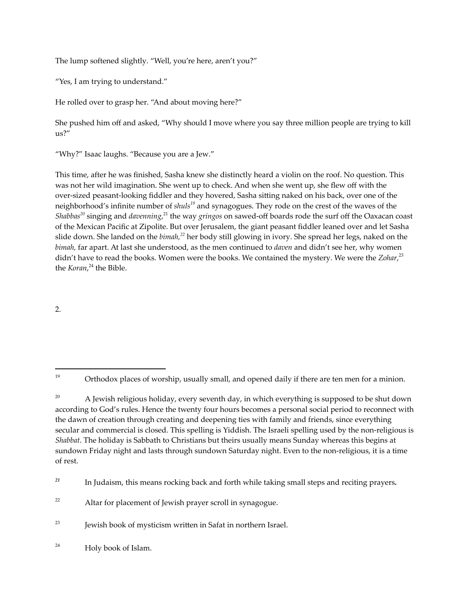The lump softened slightly. "Well, you're here, aren't you?"

"Yes, I am trying to understand."

He rolled over to grasp her. "And about moving here?"

She pushed him off and asked, "Why should I move where you say three million people are trying to kill us?"

"Why?" Isaac laughs. "Because you are a Jew."

This time, after he was finished, Sasha knew she distinctly heard a violin on the roof. No question. This was not her wild imagination. She went up to check. And when she went up, she flew off with the over-sized peasant-looking fiddler and they hovered, Sasha sitting naked on his back, over one of the neighborhood's infinite number of *shuls <sup>19</sup>* and synagogues. They rode on the crest of the waves of the *Shabbas<sup>20</sup>* singing and *davenning*,<sup>21</sup> the way *gringos* on sawed-off boards rode the surf off the Oaxacan coast of the Mexican Pacific at Zipolite. But over Jerusalem, the giant peasant fiddler leaned over and let Sasha slide down. She landed on the *bimah, <sup>22</sup>* her body still glowing in ivory. She spread her legs, naked on the *bimah,* far apart. At last she understood, as the men continued to *daven* and didn't see her, why women didn't have to read the books. Women were the books. We contained the mystery. We were the *Zohar*, 23 the *Koran*, <sup>24</sup> the Bible.

2.

<sup>20</sup> A Jewish religious holiday, every seventh day, in which everything is supposed to be shut down according to God's rules. Hence the twenty four hours becomes a personal social period to reconnect with the dawn of creation through creating and deepening ties with family and friends, since everything secular and commercial is closed. This spelling is Yiddish. The Israeli spelling used by the non-religious is *Shabbat*. The holiday is Sabbath to Christians but theirs usually means Sunday whereas this begins at sundown Friday night and lasts through sundown Saturday night. Even to the non-religious, it is a time of rest.

*<sup>21</sup>* In Judaism, this means rocking back and forth while taking small steps and reciting prayers*.*

<sup>&</sup>lt;sup>19</sup> Orthodox places of worship, usually small, and opened daily if there are ten men for a minion.

<sup>&</sup>lt;sup>22</sup> Altar for placement of Jewish prayer scroll in synagogue.

 $23$  Jewish book of mysticism written in Safat in northern Israel.

<sup>24</sup> Holy book of Islam.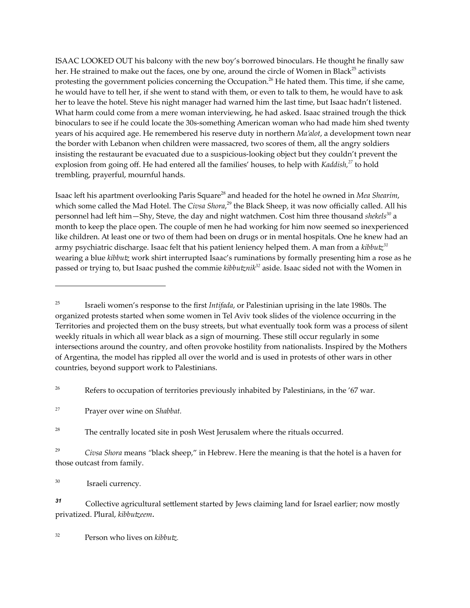ISAAC LOOKED OUT his balcony with the new boy's borrowed binoculars. He thought he finally saw her. He strained to make out the faces, one by one, around the circle of Women in Black<sup>25</sup> activists protesting the government policies concerning the Occupation. <sup>26</sup> He hated them. This time, if she came, he would have to tell her, if she went to stand with them, or even to talk to them, he would have to ask her to leave the hotel. Steve his night manager had warned him the last time, but Isaac hadn't listened. What harm could come from a mere woman interviewing, he had asked. Isaac strained trough the thick binoculars to see if he could locate the 30s-something American woman who had made him shed twenty years of his acquired age. He remembered his reserve duty in northern *Ma'alot*, a development town near the border with Lebanon when children were massacred, two scores of them, all the angry soldiers insisting the restaurant be evacuated due to a suspicious-looking object but they couldn't prevent the explosion from going off. He had entered all the families' houses, to help with *Kaddish, <sup>27</sup>* to hold trembling, prayerful, mournful hands.

Isaac left his apartment overlooking Paris Square <sup>28</sup> and headed for the hotel he owned in *Mea Shearim*, which some called the Mad Hotel. The *Civsa Shora*, <sup>29</sup> the Black Sheep, it was now officially called. All his personnel had left him—Shy, Steve, the day and night watchmen. Cost him three thousand *shekels <sup>30</sup>* a month to keep the place open. The couple of men he had working for him now seemed so inexperienced like children. At least one or two of them had been on drugs or in mental hospitals. One he knew had an army psychiatric discharge. Isaac felt that his patient leniency helped them. A man from a *kibbutz 31* wearing a blue *kibbutz* work shirt interrupted Isaac's ruminations by formally presenting him a rose as he passed or trying to, but Isaac pushed the commie *kibbutznik <sup>32</sup>* aside. Isaac sided not with the Women in

<sup>26</sup> Refers to occupation of territories previously inhabited by Palestinians, in the '67 war.

 $28$  The centrally located site in posh West Jerusalem where the rituals occurred.

<sup>29</sup> *Civsa Shora* means *"*black sheep," in Hebrew. Here the meaning is that the hotel is a haven for those outcast from family.

<sup>30</sup> Israeli currency*.*

*<sup>31</sup>* Collective agricultural settlement started by Jews claiming land for Israel earlier; now mostly privatized. Plural, *kibbutzeem.*

<sup>32</sup> Person who lives on *kibbutz.*

<sup>25</sup> Israeli women's response to the first *Intifada*, or Palestinian uprising in the late 1980s. The organized protests started when some women in Tel Aviv took slides of the violence occurring in the Territories and projected them on the busy streets, but what eventually took form was a process of silent weekly rituals in which all wear black as a sign of mourning. These still occur regularly in some intersections around the country, and often provoke hostility from nationalists. Inspired by the Mothers of Argentina, the model has rippled all over the world and is used in protests of other wars in other countries, beyond support work to Palestinians.

<sup>27</sup> Prayer over wine on *Shabbat.*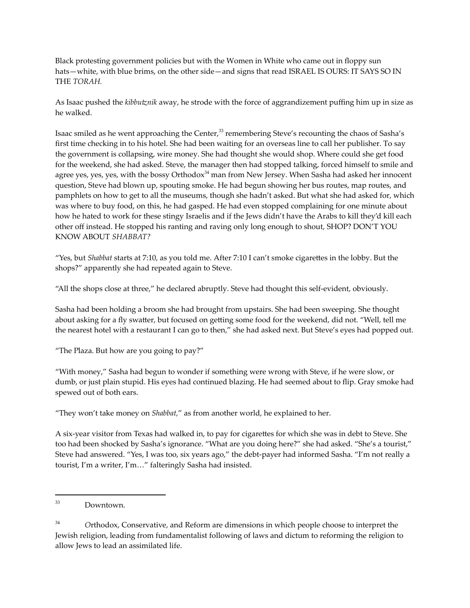Black protesting government policies but with the Women in White who came out in floppy sun hats—white, with blue brims, on the other side—and signs that read ISRAEL IS OURS: IT SAYS SO IN THE *TORAH.*

As Isaac pushed the *kibbutznik* away, he strode with the force of aggrandizement puffing him up in size as he walked.

Isaac smiled as he went approaching the Center, $^{\text{33}}$  remembering Steve's recounting the chaos of Sasha's first time checking in to his hotel. She had been waiting for an overseas line to call her publisher. To say the government is collapsing, wire money. She had thought she would shop. Where could she get food for the weekend, she had asked. Steve, the manager then had stopped talking, forced himself to smile and agree yes, yes, yes, with the bossy Orthodox $^{34}$  man from New Jersey. When Sasha had asked her innocent question, Steve had blown up, spouting smoke. He had begun showing her bus routes, map routes, and pamphlets on how to get to all the museums, though she hadn't asked. But what she had asked for, which was where to buy food, on this, he had gasped. He had even stopped complaining for one minute about how he hated to work for these stingy Israelis and if the Jews didn't have the Arabs to kill they'd kill each other off instead. He stopped his ranting and raving only long enough to shout, SHOP? DON'T YOU KNOW ABOUT *SHABBAT?*

"Yes, but *Shabbat* starts at 7:10, as you told me. After 7:10 I can't smoke cigarettes in the lobby. But the shops?" apparently she had repeated again to Steve.

"All the shops close at three," he declared abruptly. Steve had thought this self-evident, obviously.

Sasha had been holding a broom she had brought from upstairs. She had been sweeping. She thought about asking for a fly swatter, but focused on getting some food for the weekend, did not. "Well, tell me the nearest hotel with a restaurant I can go to then," she had asked next. But Steve's eyes had popped out.

"The Plaza. But how are you going to pay?"

"With money," Sasha had begun to wonder if something were wrong with Steve, if he were slow, or dumb, or just plain stupid. His eyes had continued blazing. He had seemed about to flip. Gray smoke had spewed out of both ears.

"They won't take money on *Shabbat,*" as from another world, he explained to her.

A six-year visitor from Texas had walked in, to pay for cigarettes for which she was in debt to Steve. She too had been shocked by Sasha's ignorance. "What are you doing here?" she had asked. "She's a tourist," Steve had answered. "Yes, I was too, six years ago," the debt-payer had informed Sasha. "I'm not really a tourist, I'm a writer, I'm…" falteringly Sasha had insisted.

<sup>33</sup> Downtown.

<sup>34</sup> *O*rthodox, Conservative, and Reform are dimensions in which people choose to interpret the Jewish religion, leading from fundamentalist following of laws and dictum to reforming the religion to allow Jews to lead an assimilated life.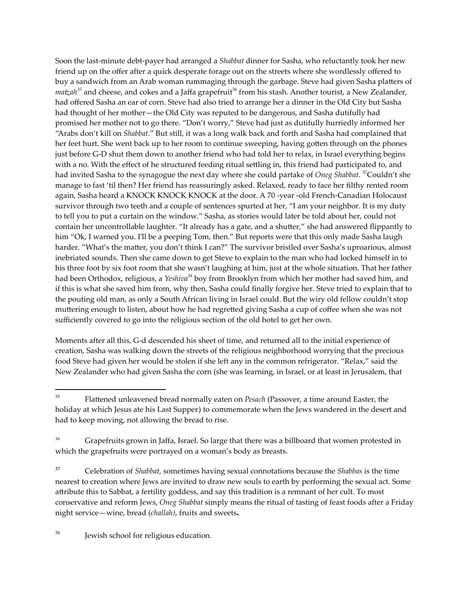Soon the last-minute debt-payer had arranged a *Shabbat* dinner for Sasha, who reluctantly took her new friend up on the offer after a quick desperate forage out on the streets where she wordlessly offered to buy a sandwich from an Arab woman rummaging through the garbage. Steve had given Sasha platters of *matzah <sup>35</sup>* and cheese, and cokes and a Jaffa grapefruit <sup>36</sup> from his stash. Another tourist, a New Zealander, had offered Sasha an ear of corn. Steve had also tried to arrange her a dinner in the Old City but Sasha had thought of her mother—the Old City was reputed to be dangerous, and Sasha dutifully had promised her mother not to go there. "Don't worry," Steve had just as dutifully hurriedly informed her "Arabs don't kill on *Shabbat*." But still, it was a long walk back and forth and Sasha had complained that her feet hurt. She went back up to her room to continue sweeping, having gotten through on the phones just before G-D shut them down to another friend who had told her to relax, in Israel everything begins with a no. With the effect of he structured feeding ritual settling in, this friend had participated to, and had invited Sasha to the synagogue the next day where she could partake of *Oneg Shabbat*. <sup>37</sup>Couldn't she manage to fast 'til then? Her friend has reassuringly asked. Relaxed, ready to face her filthy rented room again, Sasha heard a KNOCK KNOCK KNOCK at the door. A 70 -year -old French-Canadian Holocaust survivor through two teeth and a couple of sentences spurted at her, "I am your neighbor. It is my duty to tell you to put a curtain on the window." Sasha, as stories would later be told about her, could not contain her uncontrollable laughter. "It already has a gate, and a shutter," she had answered flippantly to him "Ok, I warned you. I'll be a peeping Tom, then." But reports were that this only made Sasha laugh harder. "What's the matter, you don't think I can?" The survivor bristled over Sasha's uproarious, almost inebriated sounds. Then she came down to get Steve to explain to the man who had locked himself in to his three foot by six foot room that she wasn't laughing at him, just at the whole situation. That her father had been Orthodox, religious, a *Yeshiva <sup>38</sup>* boy from Brooklyn from which her mother had saved him, and if this is what she saved him from, why then, Sasha could finally forgive her. Steve tried to explain that to the pouting old man, as only a South African living in Israel could. But the wiry old fellow couldn't stop muttering enough to listen, about how he had regretted giving Sasha a cup of coffee when she was not sufficiently covered to go into the religious section of the old hotel to get her own.

Moments after all this, G-d descended his sheet of time, and returned all to the initial experience of creation, Sasha was walking down the streets of the religious neighborhood worrying that the precious food Steve had given her would be stolen if she left any in the common refrigerator. "Relax," said the New Zealander who had given Sasha the corn (she was learning, in Israel, or at least in Jerusalem, that

<sup>38</sup> Jewish school for religious education.

<sup>35</sup> Flattened unleavened bread normally eaten on *Pesach* (Passover, a time around Easter, the holiday at which Jesus ate his Last Supper) to commemorate when the Jews wandered in the desert and had to keep moving, not allowing the bread to rise.

<sup>&</sup>lt;sup>36</sup> Grapefruits grown in Jaffa, Israel. So large that there was a billboard that women protested in which the grapefruits were portrayed on a woman's body as breasts.

*<sup>37</sup>* Celebration of *Shabbat,* sometimes having sexual connotations because the *Shabbas* is the time nearest to creation where Jews are invited to draw new souls to earth by performing the sexual act. Some attribute this to Sabbat, a fertility goddess, and say this tradition is a remnant of her cult. To most conservative and reform Jews, *Oneg Shabbat* simply means the ritual of tasting of feast foods after a Friday night service—wine, bread (*challah)*, fruits and sweets*.*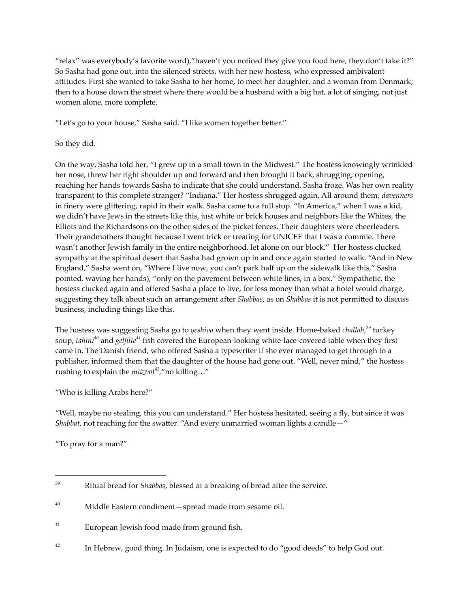"relax" was everybody's favorite word),"haven't you noticed they give you food here, they don't take it?" So Sasha had gone out, into the silenced streets, with her new hostess, who expressed ambivalent attitudes. First she wanted to take Sasha to her home, to meet her daughter, and a woman from Denmark; then to a house down the street where there would be a husband with a big hat, a lot of singing, not just women alone, more complete.

"Let's go to your house," Sasha said. "I like women together better."

## So they did.

On the way, Sasha told her, "I grew up in a small town in the Midwest." The hostess knowingly wrinkled her nose, threw her right shoulder up and forward and then brought it back, shrugging, opening, reaching her hands towards Sasha to indicate that she could understand. Sasha froze. Was her own reality transparent to this complete stranger? "Indiana." Her hostess shrugged again. All around them, *davenners* in finery were glittering, rapid in their walk. Sasha came to a full stop. "In America," when I was a kid, we didn't have Jews in the streets like this, just white or brick houses and neighbors like the Whites, the Elliots and the Richardsons on the other sides of the picket fences. Their daughters were cheerleaders. Their grandmothers thought because I went trick or treating for UNICEF that I was a commie. There wasn't another Jewish family in the entire neighborhood, let alone on our block." Her hostess clucked sympathy at the spiritual desert that Sasha had grown up in and once again started to walk. "And in New England," Sasha went on, "Where I live now, you can't park half up on the sidewalk like this," Sasha pointed, waving her hands), "only on the pavement between white lines, in a box." Sympathetic, the hostess clucked again and offered Sasha a place to live, for less money than what a hotel would charge, suggesting they talk about such an arrangement after *Shabbas*, as on *Shabbas* it is not permitted to discuss business, including things like this.

The hostess was suggesting Sasha go to *yeshiva* when they went inside. Home-baked *challah*, <sup>39</sup> turkey soup, *tahini <sup>40</sup>* and *gelfilte <sup>41</sup>* fish covered the European-looking white-lace-covered table when they first came in. The Danish friend, who offered Sasha a typewriter if she ever managed to get through to a publisher, informed them that the daughter of the house had gone out. "Well, never mind," the hostess rushing to explain the *mitzvot 42 ,*"no killing…"

"Who is killing Arabs here?"

"Well, maybe no stealing, this you can understand." Her hostess hesitated, seeing a fly, but since it was *Shabbat*, not reaching for the swatter. "And every unmarried woman lights a candle—"

"To pray for a man?"

<sup>39</sup> Ritual bread for *Shabbas*, blessed at a breaking of bread after the service.

<sup>40</sup> Middle Eastern condiment—spread made from sesame oil.

<sup>41</sup> European Jewish food made from ground fish.

<sup>&</sup>lt;sup>42</sup> In Hebrew, good thing. In Judaism, one is expected to do "good deeds" to help God out.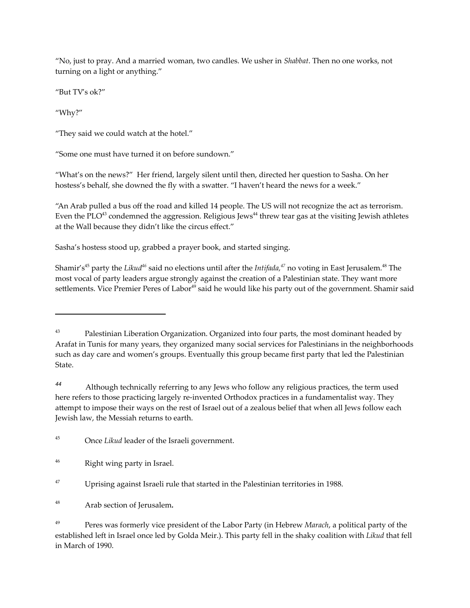"No, just to pray. And a married woman, two candles. We usher in *Shabbat*. Then no one works, not turning on a light or anything."

"But TV's ok?"

"Why?"

"They said we could watch at the hotel."

"Some one must have turned it on before sundown."

"What's on the news?" Her friend, largely silent until then, directed her question to Sasha. On her hostess's behalf, she downed the fly with a swatter. "I haven't heard the news for a week."

"An Arab pulled a bus off the road and killed 14 people. The US will not recognize the act as terrorism. Even the PLO $^{43}$  condemned the aggression. Religious Jews $^{44}$  threw tear gas at the visiting Jewish athletes at the Wall because they didn't like the circus effect."

Sasha's hostess stood up, grabbed a prayer book, and started singing.

Shamir′s<sup>45</sup> party the *Likud<sup>46</sup> s*aid no elections until after the *Intifada,<sup>47</sup> no voting in East Jerusalem*.<sup>48</sup> The most vocal of party leaders argue strongly against the creation of a Palestinian state. They want more settlements. Vice Premier Peres of Labor<sup>49</sup> said he would like his party out of the government. Shamir said

*<sup>44</sup>* Although technically referring to any Jews who follow any religious practices, the term used here refers to those practicing largely re-invented Orthodox practices in a fundamentalist way. They attempt to impose their ways on the rest of Israel out of a zealous belief that when all Jews follow each Jewish law, the Messiah returns to earth.

<sup>&</sup>lt;sup>43</sup> Palestinian Liberation Organization. Organized into four parts, the most dominant headed by Arafat in Tunis for many years, they organized many social services for Palestinians in the neighborhoods such as day care and women's groups. Eventually this group became first party that led the Palestinian State.

<sup>45</sup> Once *Likud* leader of the Israeli government.

<sup>46</sup> Right wing party in Israel.

<sup>&</sup>lt;sup>47</sup> Uprising against Israeli rule that started in the Palestinian territories in 1988.

<sup>48</sup> Arab section of Jerusalem*.*

<sup>49</sup> Peres was formerly vice president of the Labor Party (in Hebrew *Marach*, a political party of the established left in Israel once led by Golda Meir.). This party fell in the shaky coalition with *Likud* that fell in March of 1990.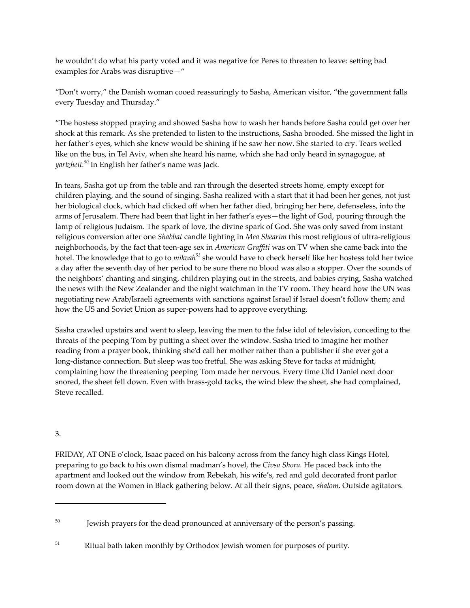he wouldn't do what his party voted and it was negative for Peres to threaten to leave: setting bad examples for Arabs was disruptive—"

"Don't worry," the Danish woman cooed reassuringly to Sasha, American visitor, "the government falls every Tuesday and Thursday."

"The hostess stopped praying and showed Sasha how to wash her hands before Sasha could get over her shock at this remark. As she pretended to listen to the instructions, Sasha brooded. She missed the light in her father's eyes, which she knew would be shining if he saw her now. She started to cry. Tears welled like on the bus, in Tel Aviv, when she heard his name, which she had only heard in synagogue, at *yartzheit. <sup>50</sup>* In English her father's name was Jack.

In tears, Sasha got up from the table and ran through the deserted streets home, empty except for children playing, and the sound of singing. Sasha realized with a start that it had been her genes, not just her biological clock, which had clicked off when her father died, bringing her here, defenseless, into the arms of Jerusalem. There had been that light in her father's eyes—the light of God, pouring through the lamp of religious Judaism. The spark of love, the divine spark of God. She was only saved from instant religious conversion after one *Shabbat* candle lighting in *Mea Shearim* this most religious of ultra-religious neighborhoods, by the fact that teen-age sex in *American Graffiti* was on TV when she came back into the hotel. The knowledge that to go to *mikvah <sup>51</sup>* she would have to check herself like her hostess told her twice a day after the seventh day of her period to be sure there no blood was also a stopper. Over the sounds of the neighbors' chanting and singing, children playing out in the streets, and babies crying, Sasha watched the news with the New Zealander and the night watchman in the TV room. They heard how the UN was negotiating new Arab/Israeli agreements with sanctions against Israel if Israel doesn't follow them; and how the US and Soviet Union as super-powers had to approve everything.

Sasha crawled upstairs and went to sleep, leaving the men to the false idol of television, conceding to the threats of the peeping Tom by putting a sheet over the window. Sasha tried to imagine her mother reading from a prayer book, thinking she'd call her mother rather than a publisher if she ever got a long-distance connection. But sleep was too fretful. She was asking Steve for tacks at midnight, complaining how the threatening peeping Tom made her nervous. Every time Old Daniel next door snored, the sheet fell down. Even with brass-gold tacks, the wind blew the sheet, she had complained, Steve recalled.

## 3.

FRIDAY, AT ONE o'clock, Isaac paced on his balcony across from the fancy high class Kings Hotel, preparing to go back to his own dismal madman's hovel, the *Civsa Shora.* He paced back into the apartment and looked out the window from Rebekah, his wife's, red and gold decorated front parlor room down at the Women in Black gathering below. At all their signs, peace, *shalom*. Outside agitators.

<sup>&</sup>lt;sup>50</sup> Jewish prayers for the dead pronounced at anniversary of the person's passing.

<sup>&</sup>lt;sup>51</sup> Ritual bath taken monthly by Orthodox Jewish women for purposes of purity.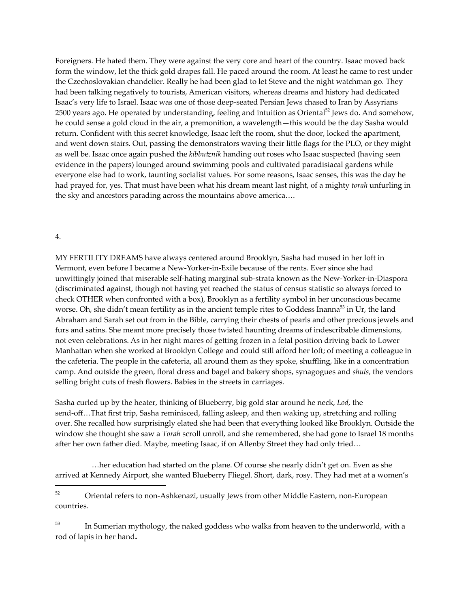Foreigners. He hated them. They were against the very core and heart of the country. Isaac moved back form the window, let the thick gold drapes fall. He paced around the room. At least he came to rest under the Czechoslovakian chandelier. Really he had been glad to let Steve and the night watchman go. They had been talking negatively to tourists, American visitors, whereas dreams and history had dedicated Isaac's very life to Israel. Isaac was one of those deep-seated Persian Jews chased to Iran by Assyrians 2500 years ago. He operated by understanding, feeling and intuition as Oriental<sup>52</sup> Jews do. And somehow, he could sense a gold cloud in the air, a premonition, a wavelength—this would be the day Sasha would return. Confident with this secret knowledge, Isaac left the room, shut the door, locked the apartment, and went down stairs. Out, passing the demonstrators waving their little flags for the PLO, or they might as well be. Isaac once again pushed the *kibbutznik* handing out roses who Isaac suspected (having seen evidence in the papers) lounged around swimming pools and cultivated paradisiacal gardens while everyone else had to work, taunting socialist values. For some reasons, Isaac senses, this was the day he had prayed for, yes. That must have been what his dream meant last night, of a mighty *torah* unfurling in the sky and ancestors parading across the mountains above america….

#### 4.

MY FERTILITY DREAMS have always centered around Brooklyn, Sasha had mused in her loft in Vermont, even before I became a New-Yorker-in-Exile because of the rents. Ever since she had unwittingly joined that miserable self-hating marginal sub-strata known as the New-Yorker-in-Diaspora (discriminated against, though not having yet reached the status of census statistic so always forced to check OTHER when confronted with a box), Brooklyn as a fertility symbol in her unconscious became worse. Oh, she didn't mean fertility as in the ancient temple rites to Goddess Inanna<sup>53</sup> in Ur, the land Abraham and Sarah set out from in the Bible, carrying their chests of pearls and other precious jewels and furs and satins. She meant more precisely those twisted haunting dreams of indescribable dimensions, not even celebrations. As in her night mares of getting frozen in a fetal position driving back to Lower Manhattan when she worked at Brooklyn College and could still afford her loft; of meeting a colleague in the cafeteria. The people in the cafeteria, all around them as they spoke, shuffling, like in a concentration camp. And outside the green, floral dress and bagel and bakery shops, synagogues and *shuls,* the vendors selling bright cuts of fresh flowers. Babies in the streets in carriages.

Sasha curled up by the heater, thinking of Blueberry, big gold star around he neck, *Lod*, the send-off…That first trip, Sasha reminisced, falling asleep, and then waking up, stretching and rolling over. She recalled how surprisingly elated she had been that everything looked like Brooklyn. Outside the window she thought she saw a *Torah* scroll unroll, and she remembered, she had gone to Israel 18 months after her own father died. Maybe, meeting Isaac, if on Allenby Street they had only tried…

…her education had started on the plane. Of course she nearly didn't get on. Even as she arrived at Kennedy Airport, she wanted Blueberry Fliegel. Short, dark, rosy. They had met at a women's

<sup>52</sup> Oriental refers to non-Ashkenazi, usually Jews from other Middle Eastern, non-European countries.

 $^{53}$  In Sumerian mythology, the naked goddess who walks from heaven to the underworld, with a rod of lapis in her hand*.*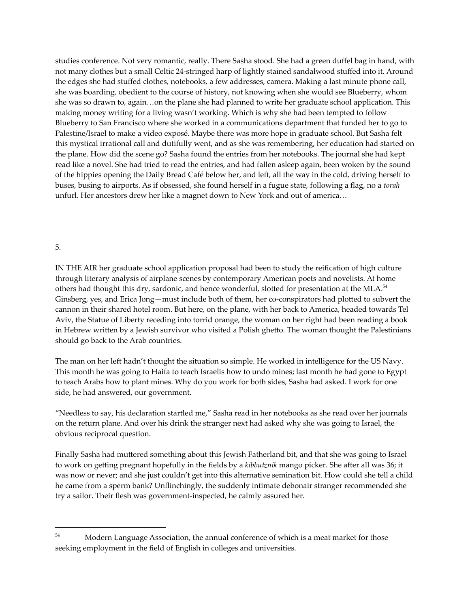studies conference. Not very romantic, really. There Sasha stood. She had a green duffel bag in hand, with not many clothes but a small Celtic 24-stringed harp of lightly stained sandalwood stuffed into it. Around the edges she had stuffed clothes, notebooks, a few addresses, camera. Making a last minute phone call, she was boarding, obedient to the course of history, not knowing when she would see Blueberry, whom she was so drawn to, again…on the plane she had planned to write her graduate school application. This making money writing for a living wasn't working. Which is why she had been tempted to follow Blueberry to San Francisco where she worked in a communications department that funded her to go to Palestine/Israel to make a video exposé. Maybe there was more hope in graduate school. But Sasha felt this mystical irrational call and dutifully went, and as she was remembering, her education had started on the plane. How did the scene go? Sasha found the entries from her notebooks. The journal she had kept read like a novel. She had tried to read the entries, and had fallen asleep again, been woken by the sound of the hippies opening the Daily Bread Café below her, and left, all the way in the cold, driving herself to buses, busing to airports. As if obsessed, she found herself in a fugue state, following a flag, no a *torah* unfurl. Her ancestors drew her like a magnet down to New York and out of america…

## 5.

IN THE AIR her graduate school application proposal had been to study the reification of high culture through literary analysis of airplane scenes by contemporary American poets and novelists. At home others had thought this dry, sardonic, and hence wonderful, slotted for presentation at the MLA.<sup>54</sup> Ginsberg, yes, and Erica Jong—must include both of them, her co-conspirators had plotted to subvert the cannon in their shared hotel room. But here, on the plane, with her back to America, headed towards Tel Aviv, the Statue of Liberty receding into torrid orange, the woman on her right had been reading a book in Hebrew written by a Jewish survivor who visited a Polish ghetto. The woman thought the Palestinians should go back to the Arab countries.

The man on her left hadn't thought the situation so simple. He worked in intelligence for the US Navy. This month he was going to Haifa to teach Israelis how to undo mines; last month he had gone to Egypt to teach Arabs how to plant mines. Why do you work for both sides, Sasha had asked. I work for one side, he had answered, our government.

"Needless to say, his declaration startled me," Sasha read in her notebooks as she read over her journals on the return plane. And over his drink the stranger next had asked why she was going to Israel, the obvious reciprocal question.

Finally Sasha had muttered something about this Jewish Fatherland bit, and that she was going to Israel to work on getting pregnant hopefully in the fields by a *kibbutznik* mango picker. She after all was 36; it was now or never; and she just couldn't get into this alternative semination bit. How could she tell a child he came from a sperm bank? Unflinchingly, the suddenly intimate debonair stranger recommended she try a sailor. Their flesh was government-inspected, he calmly assured her.

<sup>&</sup>lt;sup>54</sup> Modern Language Association, the annual conference of which is a meat market for those seeking employment in the field of English in colleges and universities.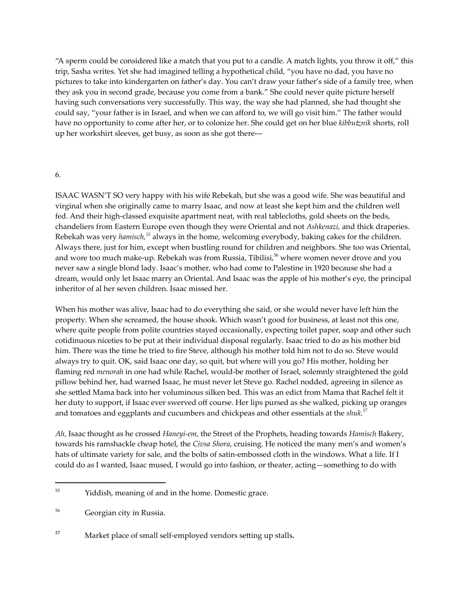"A sperm could be considered like a match that you put to a candle. A match lights, you throw it off," this trip, Sasha writes. Yet she had imagined telling a hypothetical child, "you have no dad, you have no pictures to take into kindergarten on father's day. You can't draw your father's side of a family tree, when they ask you in second grade, because you come from a bank." She could never quite picture herself having such conversations very successfully. This way, the way she had planned, she had thought she could say, "your father is in Israel, and when we can afford to, we will go visit him." The father would have no opportunity to come after her, or to colonize her. She could get on her blue *kibbutznik* shorts, roll up her workshirt sleeves, get busy, as soon as she got there---

#### 6.

ISAAC WASN'T SO very happy with his wife Rebekah, but she was a good wife. She was beautiful and virginal when she originally came to marry Isaac, and now at least she kept him and the children well fed. And their high-classed exquisite apartment neat, with real tablecloths, gold sheets on the beds, chandeliers from Eastern Europe even though they were Oriental and not *Ashkenazi,* and thick draperies. Rebekah was very *hamisch, <sup>55</sup>* always in the home, welcoming everybody, baking cakes for the children. Always there, just for him, except when bustling round for children and neighbors. She too was Oriental, and wore too much make-up. Rebekah was from Russia, Tibilisi, <sup>56</sup> where women never drove and you never saw a single blond lady. Isaac's mother, who had come to Palestine in 1920 because she had a dream, would only let Isaac marry an Oriental. And Isaac was the apple of his mother's eye, the principal inheritor of al her seven children. Isaac missed her.

When his mother was alive, Isaac had to do everything she said, or she would never have left him the property. When she screamed, the house shook. Which wasn't good for business, at least not this one, where quite people from polite countries stayed occasionally, expecting toilet paper, soap and other such cotidinuous niceties to be put at their individual disposal regularly. Isaac tried to do as his mother bid him. There was the time he tried to fire Steve, although his mother told him not to do so. Steve would always try to quit. OK, said Isaac one day, so quit, but where will you go? His mother, holding her flaming red *menorah* in one had while Rachel, would-be mother of Israel, solemnly straightened the gold pillow behind her, had warned Isaac, he must never let Steve go. Rachel nodded, agreeing in silence as she settled Mama back into her voluminous silken bed. This was an edict from Mama that Rachel felt it her duty to support, if Isaac ever swerved off course. Her lips pursed as she walked, picking up oranges and tomatoes and eggplants and cucumbers and chickpeas and other essentials at the *shuk. 57*

*Ah,* Isaac thought as he crossed *Haneyi-em,* the Street of the Prophets, heading towards *Hamisch* Bakery, towards his ramshackle cheap hotel, the *Civsa Shora*, cruising. He noticed the many men's and women's hats of ultimate variety for sale, and the bolts of satin-embossed cloth in the windows. What a life. If I could do as I wanted, Isaac mused, I would go into fashion, or theater, acting—something to do with

<sup>&</sup>lt;sup>55</sup> Yiddish, meaning of and in the home. Domestic grace.

<sup>56</sup> Georgian city in Russia.

*<sup>57</sup>* Market place of small self-employed vendors setting up stalls*.*